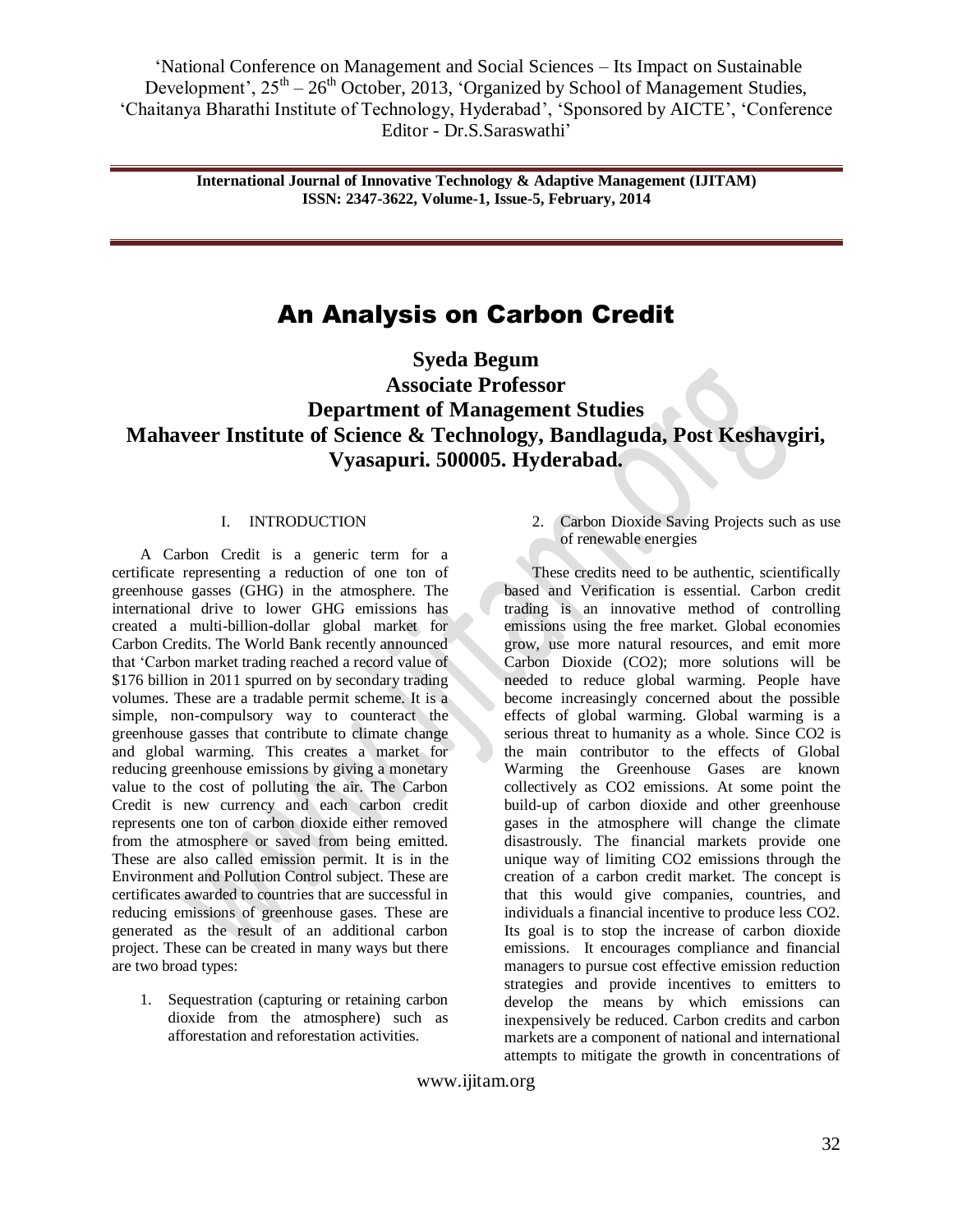> **International Journal of Innovative Technology & Adaptive Management (IJITAM) ISSN: 2347-3622, Volume-1, Issue-5, February, 2014**

# An Analysis on Carbon Credit

**Syeda Begum Associate Professor Department of Management Studies Mahaveer Institute of Science & Technology, Bandlaguda, Post Keshavgiri, Vyasapuri. 500005. Hyderabad.**

## I. INTRODUCTION

A Carbon Credit is a generic term for a certificate representing a reduction of one ton of greenhouse gasses (GHG) in the atmosphere. The international drive to lower GHG emissions has created a multi-billion-dollar global market for Carbon Credits. The World Bank recently announced that "Carbon market trading reached a record value of \$176 billion in 2011 spurred on by secondary trading volumes. These are a tradable permit scheme. It is a simple, non-compulsory way to counteract the greenhouse gasses that contribute to climate change and global warming. This creates a market for reducing greenhouse emissions by giving a monetary value to the cost of polluting the air. The Carbon Credit is new currency and each carbon credit represents one ton of carbon dioxide either removed from the atmosphere or saved from being emitted. These are also called emission permit. It is in the Environment and Pollution Control subject. These are certificates awarded to countries that are successful in reducing emissions of greenhouse gases. These are generated as the result of an additional carbon project. These can be created in many ways but there are two broad types:

1. Sequestration (capturing or retaining carbon dioxide from the atmosphere) such as afforestation and reforestation activities.

2. Carbon Dioxide Saving Projects such as use of renewable energies

These credits need to be authentic, scientifically based and Verification is essential. Carbon credit trading is an innovative method of controlling emissions using the free market. Global economies grow, use more natural resources, and emit more Carbon Dioxide (CO2); more solutions will be needed to reduce global warming. People have become increasingly concerned about the possible effects of global warming. Global warming is a serious threat to humanity as a whole. Since CO2 is the main contributor to the effects of Global Warming the Greenhouse Gases are known collectively as CO2 emissions. At some point the build-up of carbon dioxide and other greenhouse gases in the atmosphere will change the climate disastrously. The financial markets provide one unique way of limiting CO2 emissions through the creation of a carbon credit market. The concept is that this would give companies, countries, and individuals a financial incentive to produce less CO2. Its goal is to stop the increase of carbon dioxide emissions. It encourages compliance and financial managers to pursue cost effective emission reduction strategies and provide incentives to emitters to develop the means by which emissions can inexpensively be reduced. Carbon credits and carbon markets are a component of national and international attempts to mitigate the growth in concentrations of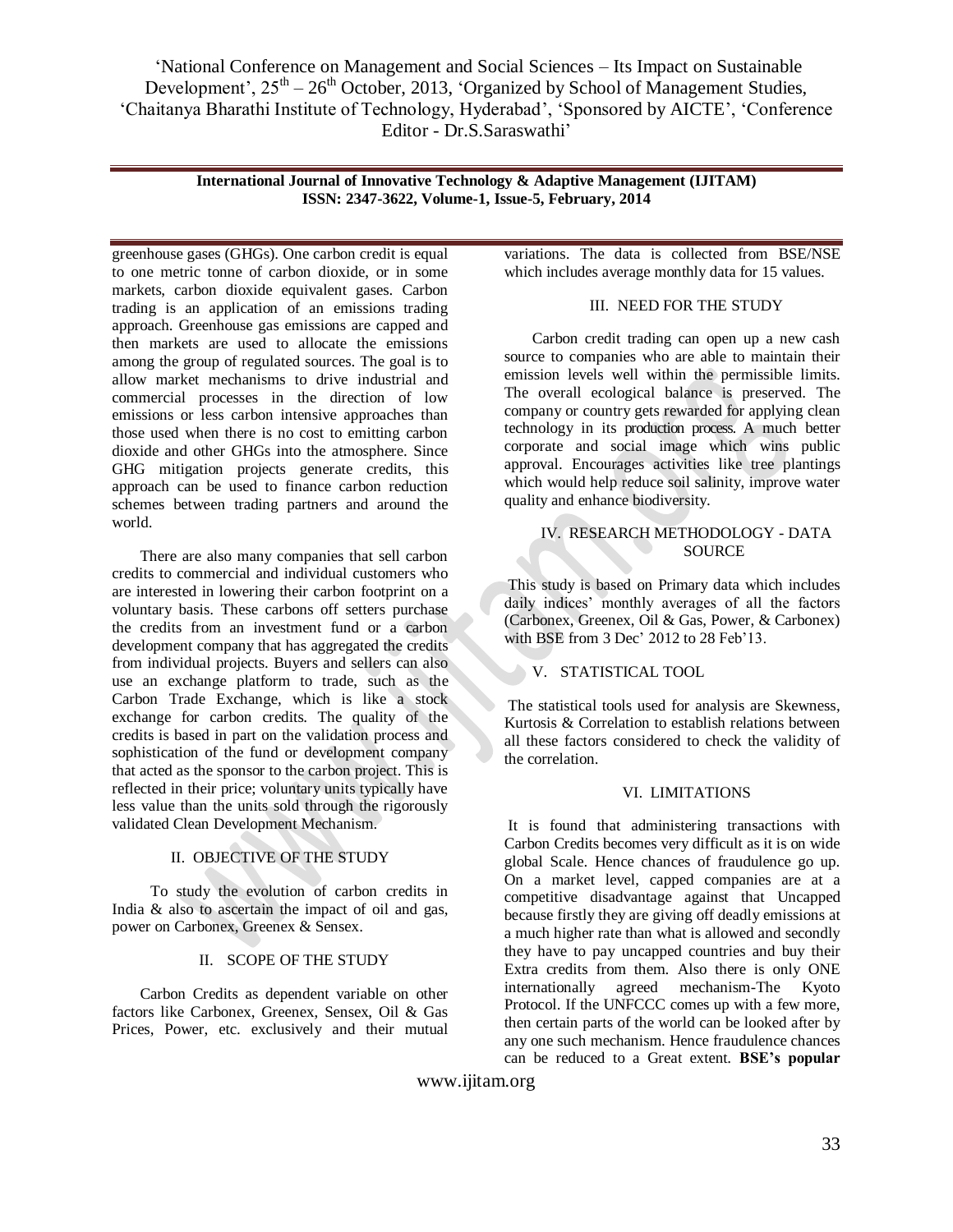> **International Journal of Innovative Technology & Adaptive Management (IJITAM) ISSN: 2347-3622, Volume-1, Issue-5, February, 2014**

greenhouse gases (GHGs). One carbon credit is equal to one metric tonne of carbon dioxide, or in some markets, carbon dioxide equivalent gases. Carbon trading is an application of an emissions trading approach. Greenhouse gas emissions are capped and then markets are used to allocate the emissions among the group of regulated sources. The goal is to allow market mechanisms to drive industrial and commercial processes in the direction of low emissions or less carbon intensive approaches than those used when there is no cost to emitting carbon dioxide and other GHGs into the atmosphere. Since GHG mitigation projects generate credits, this approach can be used to finance carbon reduction schemes between trading partners and around the world.

There are also many companies that sell carbon credits to commercial and individual customers who are interested in lowering their carbon footprint on a voluntary basis. These carbons off setters purchase the credits from an investment fund or a carbon development company that has aggregated the credits from individual projects. Buyers and sellers can also use an exchange platform to trade, such as the Carbon Trade Exchange, which is like a stock exchange for carbon credits. The quality of the credits is based in part on the validation process and sophistication of the fund or development company that acted as the sponsor to the carbon project. This is reflected in their price; voluntary units typically have less value than the units sold through the rigorously validated Clean Development Mechanism.

## II. OBJECTIVE OF THE STUDY

To study the evolution of carbon credits in India & also to ascertain the impact of oil and gas, power on Carbonex, Greenex & Sensex.

## II. SCOPE OF THE STUDY

Carbon Credits as dependent variable on other factors like Carbonex, Greenex, Sensex, Oil & Gas Prices, Power, etc. exclusively and their mutual variations. The data is collected from BSE/NSE which includes average monthly data for 15 values.

## III. NEED FOR THE STUDY

Carbon credit trading can open up a new cash source to companies who are able to maintain their emission levels well within the permissible limits. The overall ecological balance is preserved. The company or country gets rewarded for applying clean technology in its production process. A much better corporate and social image which wins public approval. Encourages activities like tree plantings which would help reduce soil salinity, improve water quality and enhance biodiversity.

## IV. RESEARCH METHODOLOGY - DATA **SOURCE**

This study is based on Primary data which includes daily indices' monthly averages of all the factors (Carbonex, Greenex, Oil & Gas, Power, & Carbonex) with BSE from 3 Dec' 2012 to 28 Feb'13.

## V. STATISTICAL TOOL

The statistical tools used for analysis are Skewness, Kurtosis & Correlation to establish relations between all these factors considered to check the validity of the correlation.

## VI. LIMITATIONS

It is found that administering transactions with Carbon Credits becomes very difficult as it is on wide global Scale. Hence chances of fraudulence go up. On a market level, capped companies are at a competitive disadvantage against that Uncapped because firstly they are giving off deadly emissions at a much higher rate than what is allowed and secondly they have to pay uncapped countries and buy their Extra credits from them. Also there is only ONE internationally agreed mechanism-The Kyoto Protocol. If the UNFCCC comes up with a few more, then certain parts of the world can be looked after by any one such mechanism. Hence fraudulence chances can be reduced to a Great extent. **BSE's popular**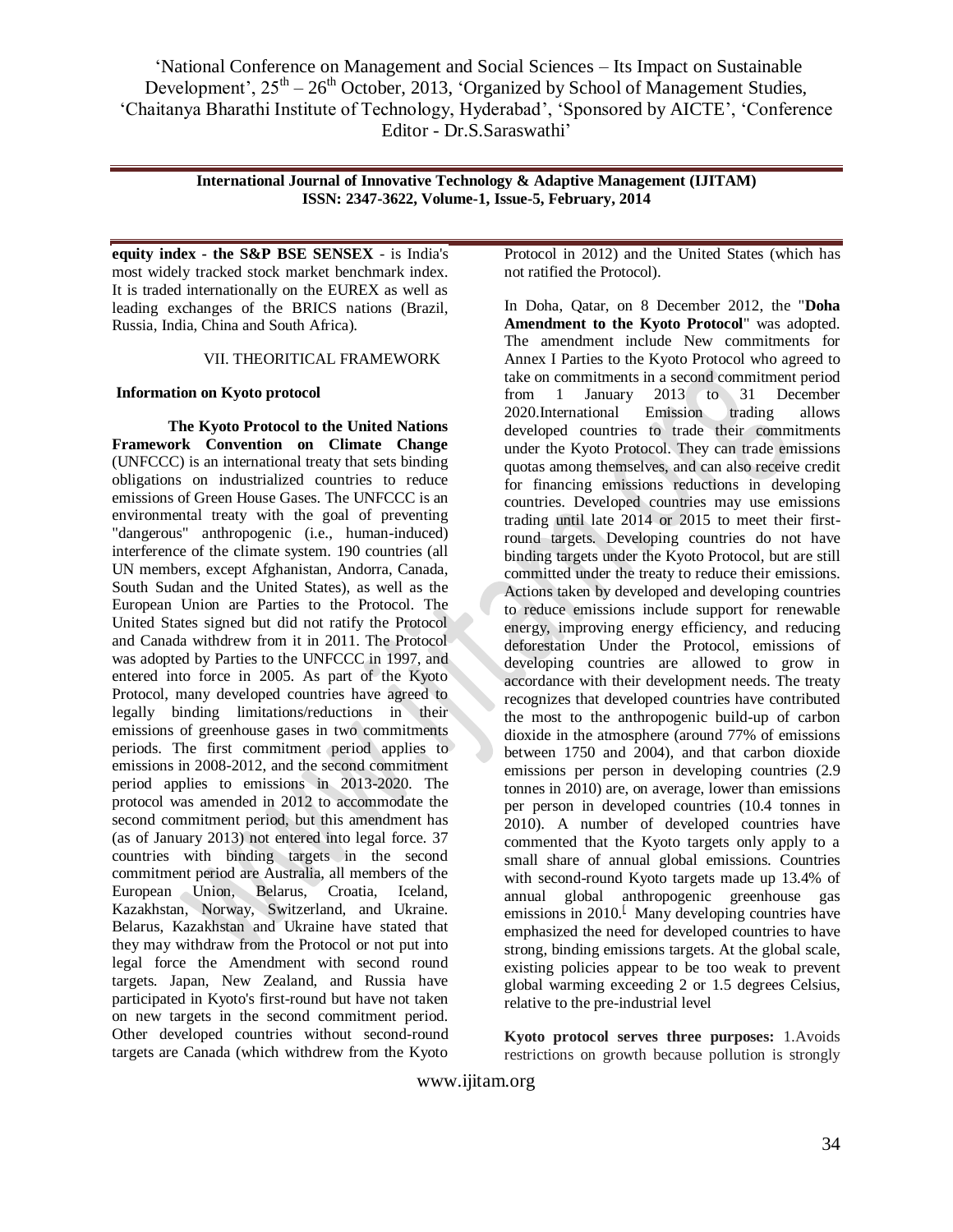> **International Journal of Innovative Technology & Adaptive Management (IJITAM) ISSN: 2347-3622, Volume-1, Issue-5, February, 2014**

**equity index - the S&P BSE SENSEX** - is India's most widely tracked stock market benchmark index. It is traded internationally on the EUREX as well as leading exchanges of the BRICS nations (Brazil, Russia, India, China and South Africa).

## VII. THEORITICAL FRAMEWORK

#### **Information on Kyoto protocol**

**The Kyoto Protocol to the United Nations Framework Convention on Climate Change** (UNFCCC) is an international treaty that sets binding obligations on industrialized countries to reduce emissions of [Green House Gases.](../../My%20Documents/AppData/Roaming/Microsoft/Word/Green%20House%20Gases) The UNFCCC is an environmental treaty with the goal of preventing "dangerous" anthropogenic (i.e., human-induced) interference of the climate system. 190 countries (all UN members, except Afghanistan, Andorra, Canada, South Sudan and the United States), as well as the European Union are Parties to the Protocol. The United States signed but did not ratify the Protocol and Canada withdrew from it in 2011. The Protocol was adopted by Parties to the UNFCCC in 1997, and entered into force in 2005. As part of the Kyoto Protocol, many developed countries have agreed to legally binding limitations/reductions in their emissions of greenhouse gases in two commitments periods. The first commitment period applies to emissions in 2008-2012, and the second commitment period applies to emissions in 2013-2020. The protocol was amended in 2012 to accommodate the second commitment period, but this amendment has (as of January 2013) not entered into legal force. 37 countries with binding targets in the second commitment period are Australia, all members of the European Union, Belarus, Croatia, Iceland, Kazakhstan, Norway, Switzerland, and Ukraine. Belarus, Kazakhstan and Ukraine have stated that they may withdraw from the Protocol or not put into legal force the Amendment with second round targets. Japan, New Zealand, and Russia have participated in Kyoto's first-round but have not taken on new targets in the second commitment period. Other developed countries without second-round targets are Canada (which withdrew from the Kyoto

Protocol in 2012) and the United States (which has not ratified the Protocol).

In Doha, Qatar, on 8 December 2012, the "**[Doha](http://unfccc.int/kyoto_protocol/doha_amendment/items/7362.php)  [Amendment to the Kyoto Protocol](http://unfccc.int/kyoto_protocol/doha_amendment/items/7362.php)**" was adopted. The amendment include New commitments for Annex I Parties to the Kyoto Protocol who agreed to take on commitments in a second commitment period from 1 January 2013 to 31 December 2020.International [Emission](http://en.wikipedia.org/wiki/Emissions_trading) trading allows [developed countries](http://en.wikipedia.org/wiki/Developed_countries) to trade their commitments under the Kyoto Protocol. They can trade emissions quotas among themselves, and can also receive credit for financing emissions reductions in developing countries. Developed countries may use emissions trading until late 2014 or 2015 to meet their firstround targets. [Developing countries](http://en.wikipedia.org/wiki/Developing_countries) do not have binding targets under the Kyoto Protocol, but are still committed under the treaty to reduce their emissions. Actions taken by developed and developing countries to reduce emissions include support for [renewable](http://en.wikipedia.org/wiki/Renewable_energy)  [energy,](http://en.wikipedia.org/wiki/Renewable_energy) improving energy efficiency, and reducing [deforestation](http://en.wikipedia.org/wiki/Deforestation) Under the Protocol, emissions of developing countries are allowed to grow in accordance with their development needs. The treaty recognizes that developed countries have contributed the most to the anthropogenic build-up of [carbon](http://en.wikipedia.org/wiki/Carbon_dioxide)  [dioxide](http://en.wikipedia.org/wiki/Carbon_dioxide) in the atmosphere (around 77% of emissions between 1750 and 2004), and that carbon dioxide emissions per person in developing countries (2.9 tonnes in 2010) are, on average, lower than emissions per person in developed countries (10.4 tonnes in 2010). A number of developed countries have commented that the Kyoto targets only apply to a small share of annual global emissions. Countries with second-round Kyoto targets made up 13.4% of annual global anthropogenic greenhouse gas emissions in  $2010$ .<sup>[</sup> Many developing countries have emphasized the need for developed countries to have strong, binding emissions targets. At the global scale, existing policies appear to be too weak to prevent global warming exceeding 2 or 1.5 degrees Celsius, relative to the pre-industrial level

**Kyoto protocol serves three purposes:** 1.Avoids restrictions on growth because pollution is strongly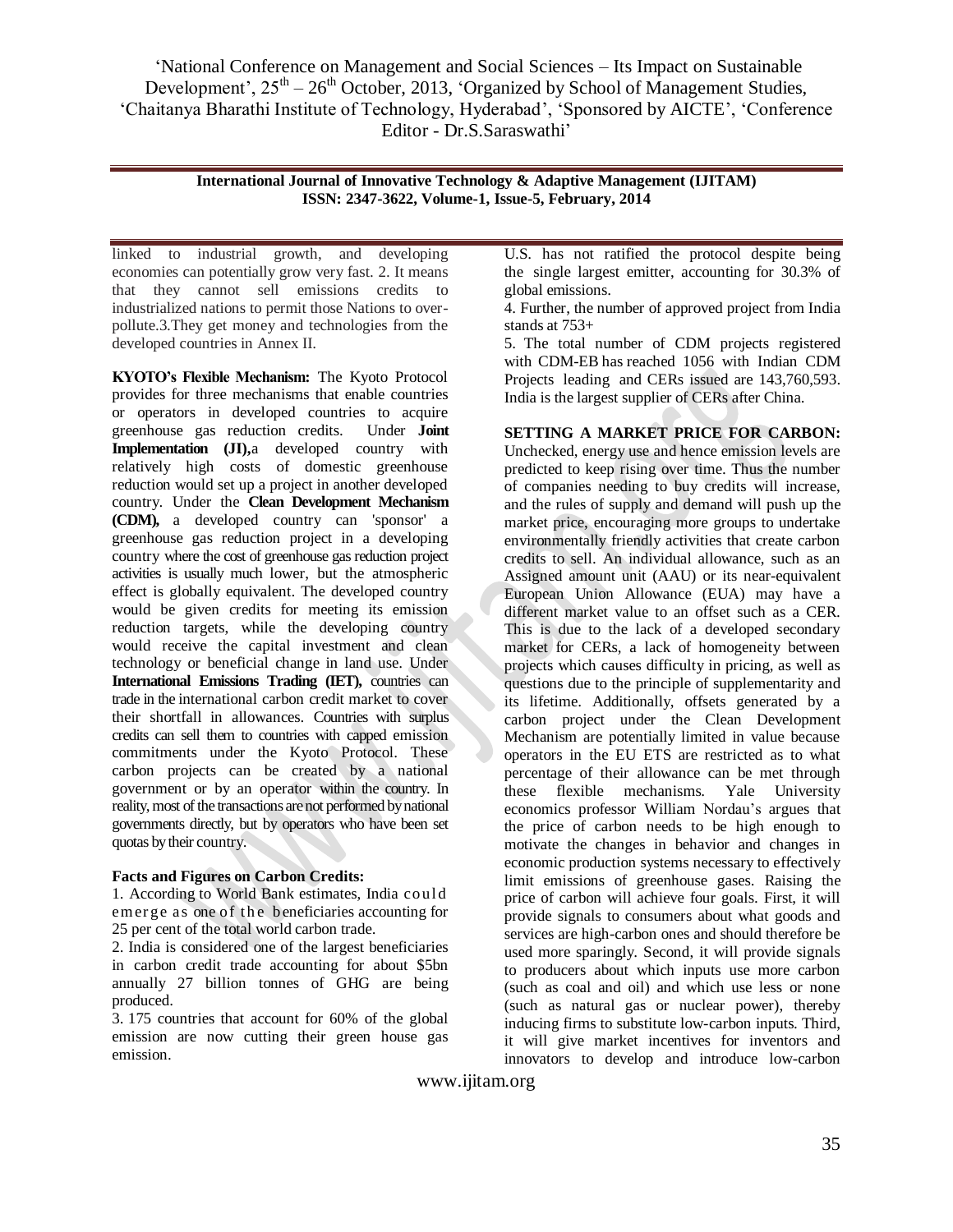> **International Journal of Innovative Technology & Adaptive Management (IJITAM) ISSN: 2347-3622, Volume-1, Issue-5, February, 2014**

linked to industrial growth, and developing economies can potentially grow very fast. 2. It means that they cannot sell emissions credits to industrialized nations to permit those Nations to overpollute.3.They get money and technologies from the developed countries in Annex II.

**KYOTO's Flexible Mechanism:** The Kyoto Protocol provides for three mechanisms that enable countries or operators in developed countries to acquire greenhouse gas reduction credits. Under **Joint Implementation (JI),**a developed country with relatively high costs of domestic greenhouse reduction would set up a project in another developed country. Under the **Clean Development Mechanism (CDM),** a developed country can 'sponsor' a greenhouse gas reduction project in a developing country where the cost of greenhouse gas reduction project activities is usually much lower, but the atmospheric effect is globally equivalent. The developed country would be given credits for meeting its emission reduction targets, while the developing country would receive the capital investment and clean technology or beneficial change in land use. Under **International Emissions Trading (IET),** countries can trade in the international carbon credit market to cover their shortfall in allowances. Countries with surplus credits can sell them to countries with capped emission commitments under the Kyoto Protocol. These carbon projects can be created by a national government or by an operator within the country. In reality, most of the transactions are not performed by national governments directly, but by operators who have been set quotas by their country.

## **Facts and Figures on Carbon Credits:**

1. According to World Bank estimates, India coul d em erge as one of the beneficiaries accounting for 25 per cent of the total world carbon trade.

2. India is considered one of the largest beneficiaries in carbon credit trade accounting for about \$5bn annually 27 billion tonnes of GHG are being produced.

3. 175 countries that account for 60% of the global emission are now cutting their green house gas emission.

U.S. has not ratified the protocol despite being the single largest emitter, accounting for 30.3% of global emissions.

4. Further, the number of approved project from India stands at 753+

5. The total number of CDM projects registered with CDM-EB has reached 1056 with Indian CDM Projects leading and CERs issued are 143,760,593. India is the largest supplier of CERs after China.

**SETTING A MARKET PRICE FOR CARBON:**  Unchecked, energy use and hence emission levels are predicted to keep rising over time. Thus the number of companies needing to buy credits will increase, and the rules of [supply and demand](http://en.wikipedia.org/wiki/Supply_and_demand) will [push up the](http://en.wikipedia.org/wiki/Elasticity_(economics))  [market price,](http://en.wikipedia.org/wiki/Elasticity_(economics)) encouraging more groups to undertake environmentally friendly activities that create carbon credits to sell. An individual allowance, such as an [Assigned amount unit](http://en.wikipedia.org/wiki/Assigned_amount_units) (AAU) or its near-equivalent European Union Allowance (EUA) may have a different market value to an offset such as a CER. This is due to the lack of a developed secondary market for CERs, a lack of homogeneity between projects which causes difficulty in pricing, as well as questions due to the principle of [supplementarity](http://en.wikipedia.org/wiki/Supplementarity) and its lifetime. Additionally, offsets generated by a carbon [project](http://en.wikipedia.org/wiki/Carbon_project) under the Clean Development Mechanism are potentially limited in value because operators in the EU ETS are restricted as to what percentage of their allowance can be met through these flexible mechanisms. Yale University economics professor [William Nordau"s](http://en.wikipedia.org/wiki/William_Nordhaus) argues that the price of carbon needs to be high enough to motivate the changes in behavior and changes in economic production systems necessary to effectively limit emissions of [greenhouse gases.](http://en.wikipedia.org/wiki/Greenhouse_gases) Raising the price of carbon will achieve four goals. First, it will provide signals to consumers about what goods and services are high-carbon ones and should therefore be used more sparingly. Second, it will provide signals to producers about which inputs use more carbon (such as coal and oil) and which use less or none (such as natural gas or nuclear power), thereby inducing firms to substitute low-carbon inputs. Third, it will give market incentives for inventors and innovators to develop and introduce low-carbon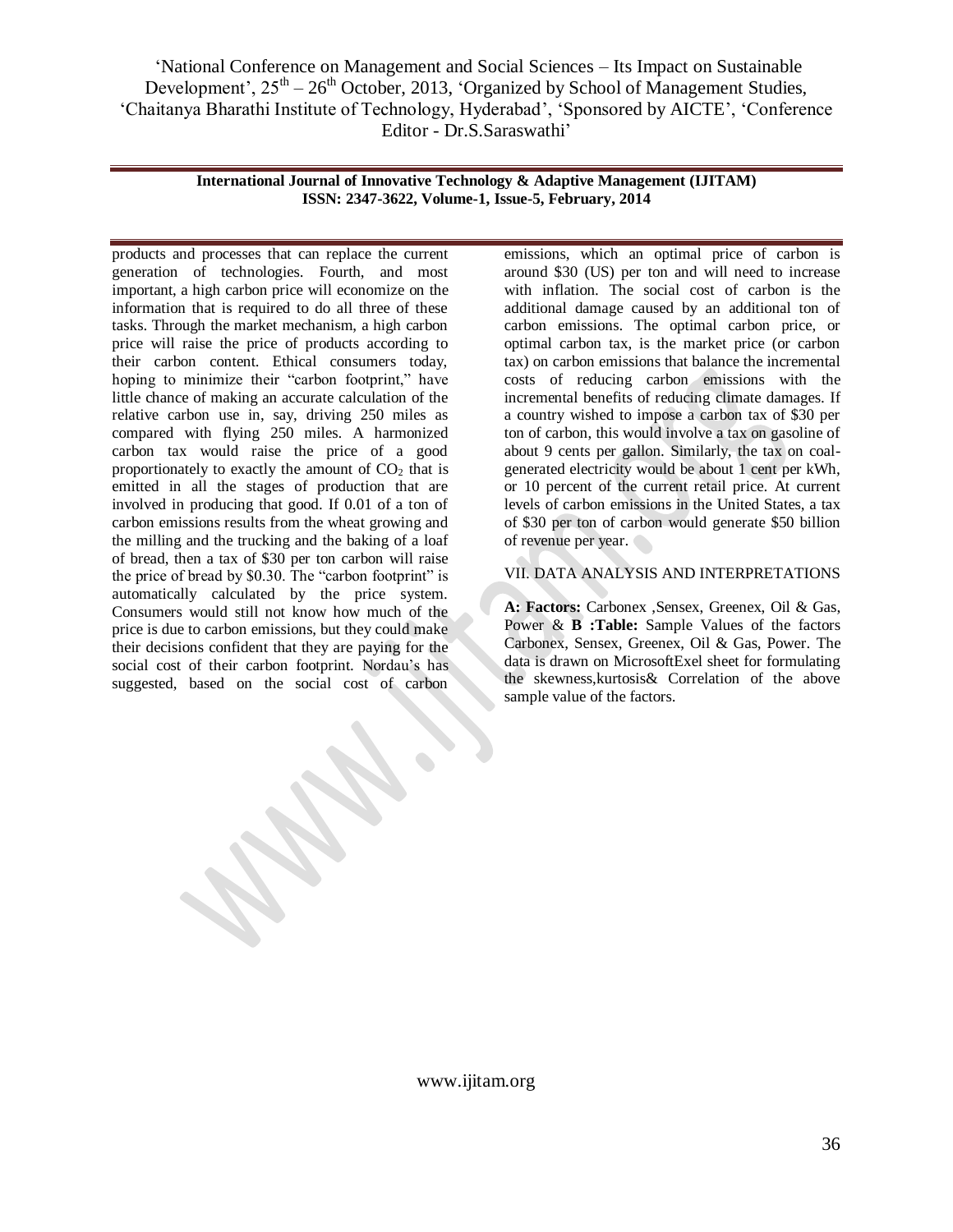> **International Journal of Innovative Technology & Adaptive Management (IJITAM) ISSN: 2347-3622, Volume-1, Issue-5, February, 2014**

products and processes that can replace the current generation of technologies. Fourth, and most important, a high carbon price will economize on the information that is required to do all three of these tasks. Through the market mechanism, a high carbon price will raise the price of products according to their carbon content. Ethical consumers today, hoping to minimize their "carbon footprint," have little chance of making an accurate calculation of the relative carbon use in, say, driving 250 miles as compared with flying 250 miles. A harmonized carbon tax would raise the price of a good proportionately to exactly the amount of  $CO<sub>2</sub>$  that is emitted in all the stages of production that are involved in producing that good. If 0.01 of a ton of carbon emissions results from the wheat growing and the milling and the trucking and the baking of a loaf of bread, then a tax of \$30 per ton carbon will raise the price of bread by \$0.30. The "carbon footprint" is automatically calculated by the price system. Consumers would still not know how much of the price is due to carbon emissions, but they could make their decisions confident that they are paying for the social cost of their carbon footprint. Nordau's has suggested, based on the social cost of carbon

emissions, which an optimal price of carbon is around \$30 (US) per ton and will need to increase with inflation. The social cost of carbon is the additional damage caused by an additional ton of carbon emissions. The optimal carbon price, or optimal carbon tax, is the market price (or carbon tax) on carbon emissions that balance the incremental costs of reducing carbon emissions with the incremental benefits of reducing climate damages. If a country wished to impose a carbon tax of \$30 per ton of carbon, this would involve a tax on gasoline of about 9 cents per gallon. Similarly, the tax on coalgenerated electricity would be about 1 cent per kWh, or 10 percent of the current retail price. At current levels of carbon emissions in the United States, a tax of \$30 per ton of carbon would generate \$50 billion of revenue per year.

# VII. DATA ANALYSIS AND INTERPRETATIONS

**A: Factors:** Carbonex ,Sensex, Greenex, Oil & Gas, Power & **B** : Table: Sample Values of the factors Carbonex, Sensex, Greenex, Oil & Gas, Power. The data is drawn on MicrosoftExel sheet for formulating the skewness,kurtosis& Correlation of the above sample value of the factors.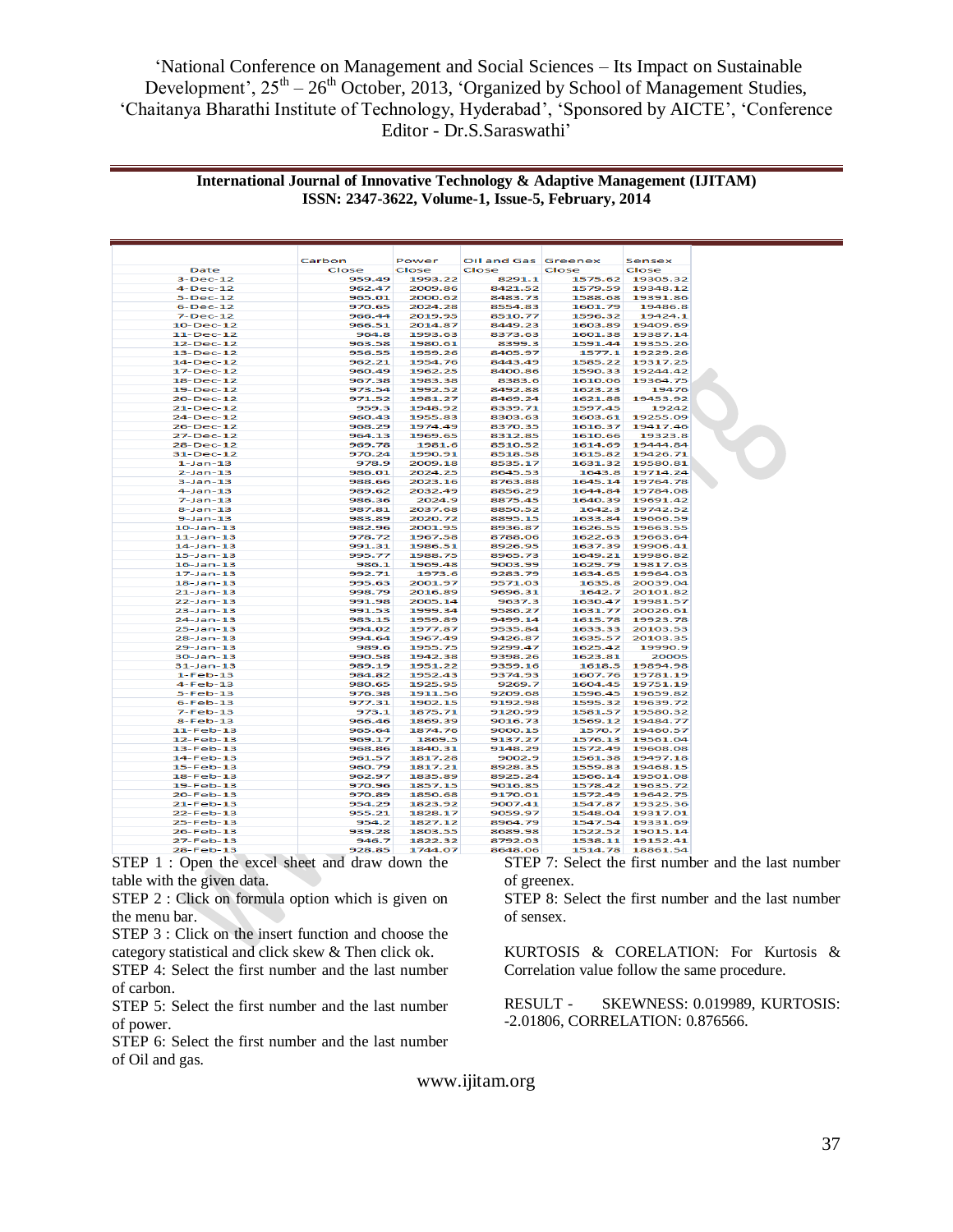## **International Journal of Innovative Technology & Adaptive Management (IJITAM) ISSN: 2347-3622, Volume-1, Issue-5, February, 2014**

|                                   | Carbon           | Power              | Oil and Gas Greenex |                    | Sensex               |  |
|-----------------------------------|------------------|--------------------|---------------------|--------------------|----------------------|--|
| Date                              | Close            | Close              | Close               | Close              | Close                |  |
| $3-Dec-12$                        | 959.49           | 1993.22            | 8291.1              | 1575.62            | 19305.32             |  |
| $4-Dec-12$                        | 962.47           | 2009.86            | 8421.52             | 1579.59            | 19348.12             |  |
| $5-Dec-12$                        | 965.01           | 2000.62            | 8483.73             | 1588.68            | 19391.86             |  |
| $6-Dec-12$                        | 970.65           | 2024.28            | 8554.83             | 1601.79            | 19486.8              |  |
| $7 - Dec-12$                      | 966.44           | 2019.95            | 8510.77             | 1596.32            | 19424.1              |  |
| $10 - Dec-12$                     | 966.51           | 2014.87            | 8449.23             | 1603.89            | 19409.69             |  |
| $11 - Dec-12$                     | 964.8            | 1993.63            | 8373.63             | 1601.38            | 19387.14             |  |
| 12-Dec-12                         | 963.58           | 1980.61            | 8399.3              | 1591.44            | 19355.26             |  |
| $13 - Dec-12$                     | 956.55           | 1959.26            | 8405.97             | 1577.1             | 19229.26             |  |
| 14-Dec-12                         | 962.21           | 1954.76            | 8443.49             | 1585.22            | 19317.25             |  |
| $17 - Dec-12$                     | 960.49           | 1962.25            | 8400.86             | 1590.33            | 19244.42             |  |
| $18 - Dec-12$                     | 967.38           | 1983.38            | 8383.6              | 1610.06            | 19364.75             |  |
| 19-Dec-12                         | 973.54           | 1992.52            | 8492.88             | 1623.23            | 19476                |  |
| 20-Dec-12                         | 971.52           | 1981.27            | 8469.24             | 1621.88            | 19453.92             |  |
| 21-Dec-12                         | 959.3            | 1948.92            | 8339.71             | 1597.45            | 19242                |  |
| 24-Dec-12                         | 960.43           | 1955.83            | 8303.63             | 1603.61            | 19255.09             |  |
| 26-Dec-12                         | 968.29           | 1974.49            | 8370.35             | 1616.37            | 19417.46             |  |
| 27-Dec-12                         | 964.13           | 1969.65            | 8312.85             | 1610.66            | 19323.8              |  |
| 28-Dec-12                         | 969.78           | 1981.6             | 8510.52             | 1614.69            | 19444.84             |  |
| 31-Dec-12                         | 970.24           | 1990.91            | 8518.58             | 1615.82            | 19426.71             |  |
| $1 - 1$ an - 13                   | 978.9            | 2009.18            | 8535.17             | 1631.32            | 19580.81             |  |
| $2 - Jan - 13$                    | 986.01           | 2024.25            | 8645.53             | 1643.8             | 19714.24             |  |
| $3 - Jan - 13$                    | 988.66           | 2023.16            | 8763.88             | 1645.14            | 19764.78             |  |
| $4 - Jan - 13$<br>$7 - 1$ an-13   | 989.62<br>986.36 | 2032.49<br>2024.9  | 8856.29<br>8875.45  | 1644.84<br>1640.39 | 19784.08<br>19691.42 |  |
|                                   |                  |                    |                     |                    |                      |  |
| $8 - Jan - 13$                    | 987.81           | 2037.68<br>2020.72 | 8850.52             | 1642.3             | 19742.52<br>19666.59 |  |
| $9 - Jan - 13$<br>$10-$ Jan $-13$ | 983.89<br>982.96 | 2001.95            | 8895.15<br>8936.87  | 1633.84<br>1626.55 | 19663.55             |  |
| $11-$ Jan $-13$                   | 978.72           | 1967.58            | 8788.06             | 1622.63            | 19663.64             |  |
| $14 - Jan - 13$                   | 991.31           | 1986.51            | 8926.95             | 1637.39            | 19906.41             |  |
| $15 - Jan - 13$                   | 995.77           | 1988.75            | 8965.73             | 1649.21            | 19986.82             |  |
| $16 - Jan-13$                     | 986.1            | 1969.48            | 9003.99             | 1629.79            | 19817.63             |  |
| $17 - Jan - 13$                   | 992.71           | 1973.6             | 9283.79             | 1634.65            | 19964.03             |  |
| $18 - Jan-13$                     | 995.63           | 2001.97            | 9571.03             | 1635.8             | 20039.04             |  |
| $21 - Jan - 13$                   | 998.79           | 2016.89            | 9696.31             | 1642.7             | 20101.82             |  |
| $22 - Jan-13$                     | 991.98           | 2005.14            | 9637.3              | 1630.47            | 19981.57             |  |
| $23 - Jan - 13$                   | 991.53           | 1999.34            | 9586.27             | 1631.77            | 20026.61             |  |
| $24 - Jan-13$                     | 983.15           | 1959.89            | 9499.14             | 1615.78            | 19923.78             |  |
| $25 - Jan - 13$                   | 994.02           | 1977.87            | 9535.84             | 1633.33            | 20103.53             |  |
| $28 - Jan - 13$                   | 994.64           | 1967.49            | 9426.87             | 1635.57            | 20103.35             |  |
| $29 - Jan - 13$                   | 989.6            | 1955.75            | 9299.47             | 1625.42            | 19990.9              |  |
| $30 - Jan-13$                     | 990.58           | 1942.38            | 9398.26             | 1623.81            | 20005                |  |
| $31 - Jan-13$                     | 989.19           | 1951.22            | 9359.16             | 1618.5             | 19894.98             |  |
| $1 - Feb - 13$                    | 984.82           | 1952.43            | 9374.93             | 1607.76            | 19781.19             |  |
| $4-Feb-13$                        | 980.65           | 1925.95            | 9269.7              | 1604.45            | 19751.19             |  |
| $5-Feh-13$                        | 976.38           | 1911.56            | 9209.68             | 1596.45            | 19659.82             |  |
| $6 - Feb - 13$                    | 977.31           | 1902.15            | 9192.98             | 1595.32            | 19639.72             |  |
| $7-Feb-13$                        | 973.1            | 1875.71            | 9120.99             | 1581.57            | 19580.32             |  |
| $8-Feb-13$                        | 966.46           | 1869.39            | 9016.73             | 1569.12            | 19484.77             |  |
| $11-Feb-13$                       | 965.64           | 1874.76            | 9000.15             | 1570.7             | 19460.57             |  |
| $12-Feb-13$                       | 969.17           | 1869.5             | 9137.27             | 1576.13            | 19561.04             |  |
| 13-Feb-13                         | 968.86           | 1840.31            | 9148.29             | 1572.49            | 19608.08             |  |
| $14 - Feb - 13$                   | 961.57           | 1817.28            | 9002.9              | 1561.38            | 19497.18             |  |
| $15 - Feb - 13$                   | 960.79           | 1817.21            | 8928.35             | 1559.83            | 19468.15             |  |
| $18-Feh-13$                       | 962.97           | 1835.89            | 8925.24             | 1566.14            | 19501.08             |  |
| 19-Feb-13                         | 970.96           | 1857.15            | 9016.85             | 1578.42            | 19635.72             |  |
| 20-Feb-13                         | 970.89           | 1850.68            | 9170.01             | 1572.49            | 19642.75             |  |
| $21 - Feb - 13$                   | 954.29           | 1823.92            | 9007.41             | 1547.87            | 19325.36             |  |
| 22-Feb-13                         | 955.21           | 1828.17            | 9059.97             | 1548.04            | 19317.01             |  |
| 25-Feb-13                         | 954.2            | 1827.12            | 8964.79             | 1547.54            | 19331.69             |  |
| $26$ -Feb-13                      | 939.28           | 1803.55            | 8689.98             | 1522.52            | 19015.14             |  |
| 27-Feb-13                         | 946.7            | 1822.32            | 8792.03             | 1538.11            | 19152.41             |  |

STEP 1 : Open the excel sheet and draw down the table with the given data.

STEP 2 : Click on formula option which is given on the menu bar.

STEP 3 : Click on the insert function and choose the category statistical and click skew & Then click ok.

STEP 4: Select the first number and the last number of carbon.

STEP 5: Select the first number and the last number of power.

STEP 6: Select the first number and the last number of Oil and gas.

STEP 7: Select the first number and the last number of greenex.

STEP 8: Select the first number and the last number of sensex.

KURTOSIS & CORELATION: For Kurtosis & Correlation value follow the same procedure.

RESULT - SKEWNESS: 0.019989, KURTOSIS: -2.01806, CORRELATION: 0.876566.